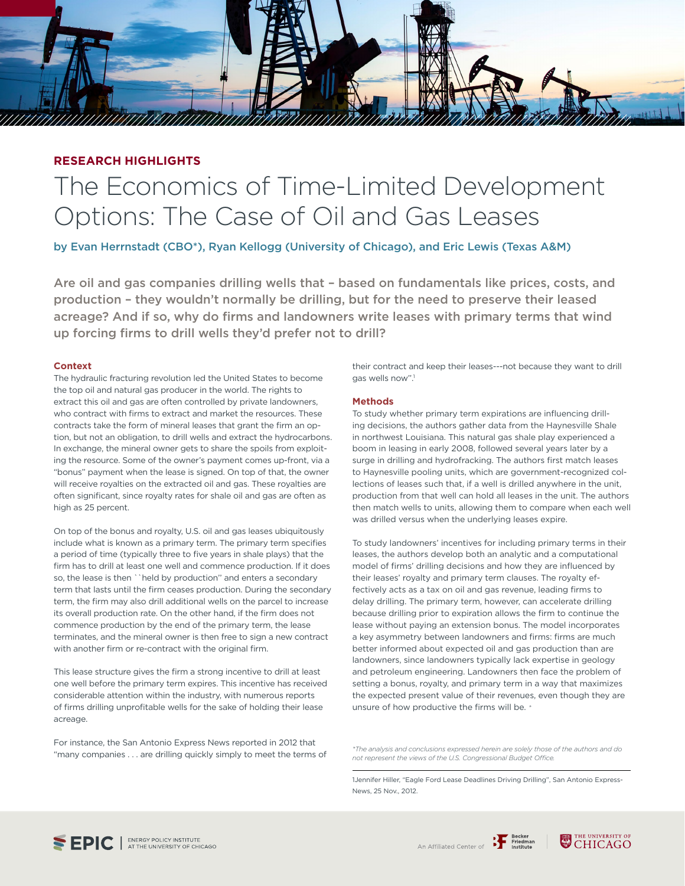## **RESEARCH HIGHLIGHTS**

# The Economics of Time-Limited Development Options: The Case of Oil and Gas Leases

by Evan Herrnstadt (CBO\*), Ryan Kellogg (University of Chicago), and Eric Lewis (Texas A&M)

Are oil and gas companies drilling wells that – based on fundamentals like prices, costs, and production – they wouldn't normally be drilling, but for the need to preserve their leased acreage? And if so, why do firms and landowners write leases with primary terms that wind up forcing firms to drill wells they'd prefer not to drill?

### **Context**

The hydraulic fracturing revolution led the United States to become the top oil and natural gas producer in the world. The rights to extract this oil and gas are often controlled by private landowners, who contract with firms to extract and market the resources. These contracts take the form of mineral leases that grant the firm an option, but not an obligation, to drill wells and extract the hydrocarbons. In exchange, the mineral owner gets to share the spoils from exploiting the resource. Some of the owner's payment comes up-front, via a "bonus" payment when the lease is signed. On top of that, the owner will receive royalties on the extracted oil and gas. These royalties are often significant, since royalty rates for shale oil and gas are often as high as 25 percent.

On top of the bonus and royalty, U.S. oil and gas leases ubiquitously include what is known as a primary term. The primary term specifies a period of time (typically three to five years in shale plays) that the firm has to drill at least one well and commence production. If it does so, the lease is then ``held by production'' and enters a secondary term that lasts until the firm ceases production. During the secondary term, the firm may also drill additional wells on the parcel to increase its overall production rate. On the other hand, if the firm does not commence production by the end of the primary term, the lease terminates, and the mineral owner is then free to sign a new contract with another firm or re-contract with the original firm.

This lease structure gives the firm a strong incentive to drill at least one well before the primary term expires. This incentive has received considerable attention within the industry, with numerous reports of firms drilling unprofitable wells for the sake of holding their lease acreage.

For instance, the San Antonio Express News reported in 2012 that "many companies . . . are drilling quickly simply to meet the terms of their contract and keep their leases---not because they want to drill gas wells now''.1

### **Methods**

To study whether primary term expirations are influencing drilling decisions, the authors gather data from the Haynesville Shale in northwest Louisiana. This natural gas shale play experienced a boom in leasing in early 2008, followed several years later by a surge in drilling and hydrofracking. The authors first match leases to Haynesville pooling units, which are government-recognized collections of leases such that, if a well is drilled anywhere in the unit, production from that well can hold all leases in the unit. The authors then match wells to units, allowing them to compare when each well was drilled versus when the underlying leases expire.

To study landowners' incentives for including primary terms in their leases, the authors develop both an analytic and a computational model of firms' drilling decisions and how they are influenced by their leases' royalty and primary term clauses. The royalty effectively acts as a tax on oil and gas revenue, leading firms to delay drilling. The primary term, however, can accelerate drilling because drilling prior to expiration allows the firm to continue the lease without paying an extension bonus. The model incorporates a key asymmetry between landowners and firms: firms are much better informed about expected oil and gas production than are landowners, since landowners typically lack expertise in geology and petroleum engineering. Landowners then face the problem of setting a bonus, royalty, and primary term in a way that maximizes the expected present value of their revenues, even though they are unsure of how productive the firms will be. *\**

*\*The analysis and conclusions expressed herein are solely those of the authors and do not represent the views of the U.S. Congressional Budget Office.*

1Jennifer Hiller, "Eagle Ford Lease Deadlines Driving Drilling", San Antonio Express-News, 25 Nov., 2012.





 $L$ *EILEA*